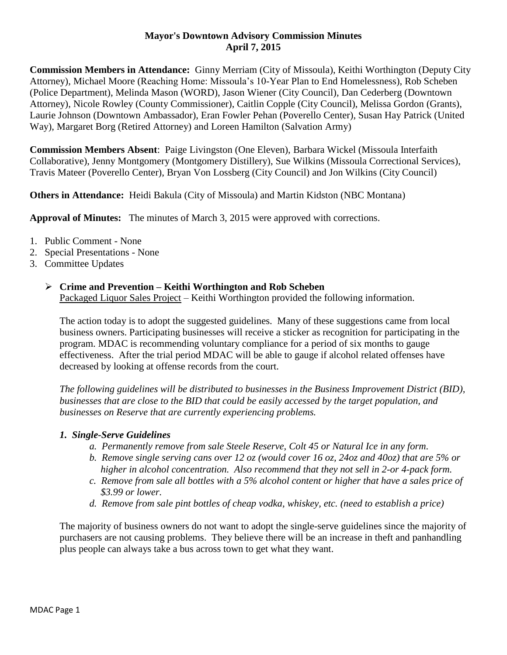## **Mayor's Downtown Advisory Commission Minutes April 7, 2015**

**Commission Members in Attendance:** Ginny Merriam (City of Missoula), Keithi Worthington (Deputy City Attorney), Michael Moore (Reaching Home: Missoula's 10-Year Plan to End Homelessness), Rob Scheben (Police Department), Melinda Mason (WORD), Jason Wiener (City Council), Dan Cederberg (Downtown Attorney), Nicole Rowley (County Commissioner), Caitlin Copple (City Council), Melissa Gordon (Grants), Laurie Johnson (Downtown Ambassador), Eran Fowler Pehan (Poverello Center), Susan Hay Patrick (United Way), Margaret Borg (Retired Attorney) and Loreen Hamilton (Salvation Army)

**Commission Members Absent**: Paige Livingston (One Eleven), Barbara Wickel (Missoula Interfaith Collaborative), Jenny Montgomery (Montgomery Distillery), Sue Wilkins (Missoula Correctional Services), Travis Mateer (Poverello Center), Bryan Von Lossberg (City Council) and Jon Wilkins (City Council)

**Others in Attendance:** Heidi Bakula (City of Missoula) and Martin Kidston (NBC Montana)

**Approval of Minutes:** The minutes of March 3, 2015 were approved with corrections.

- 1. Public Comment None
- 2. Special Presentations None
- 3. Committee Updates

### **Crime and Prevention – Keithi Worthington and Rob Scheben**

Packaged Liquor Sales Project – Keithi Worthington provided the following information.

The action today is to adopt the suggested guidelines. Many of these suggestions came from local business owners. Participating businesses will receive a sticker as recognition for participating in the program. MDAC is recommending voluntary compliance for a period of six months to gauge effectiveness. After the trial period MDAC will be able to gauge if alcohol related offenses have decreased by looking at offense records from the court.

*The following guidelines will be distributed to businesses in the Business Improvement District (BID), businesses that are close to the BID that could be easily accessed by the target population, and businesses on Reserve that are currently experiencing problems.*

### *1. Single-Serve Guidelines*

- *a. Permanently remove from sale Steele Reserve, Colt 45 or Natural Ice in any form.*
- *b. Remove single serving cans over 12 oz (would cover 16 oz, 24oz and 40oz) that are 5% or higher in alcohol concentration. Also recommend that they not sell in 2-or 4-pack form.*
- *c. Remove from sale all bottles with a 5% alcohol content or higher that have a sales price of \$3.99 or lower.*
- *d. Remove from sale pint bottles of cheap vodka, whiskey, etc. (need to establish a price)*

The majority of business owners do not want to adopt the single-serve guidelines since the majority of purchasers are not causing problems. They believe there will be an increase in theft and panhandling plus people can always take a bus across town to get what they want.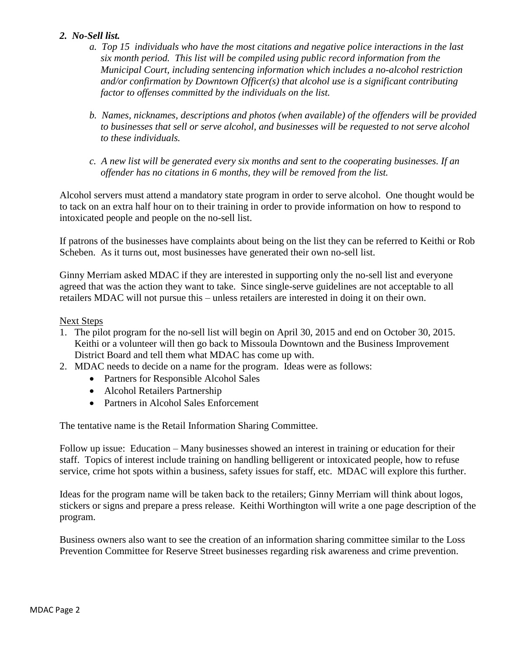## *2. No-Sell list.*

- *a. Top 15 individuals who have the most citations and negative police interactions in the last six month period. This list will be compiled using public record information from the Municipal Court, including sentencing information which includes a no-alcohol restriction and/or confirmation by Downtown Officer(s) that alcohol use is a significant contributing factor to offenses committed by the individuals on the list.*
- *b. Names, nicknames, descriptions and photos (when available) of the offenders will be provided to businesses that sell or serve alcohol, and businesses will be requested to not serve alcohol to these individuals.*
- *c. A new list will be generated every six months and sent to the cooperating businesses. If an offender has no citations in 6 months, they will be removed from the list.*

Alcohol servers must attend a mandatory state program in order to serve alcohol. One thought would be to tack on an extra half hour on to their training in order to provide information on how to respond to intoxicated people and people on the no-sell list.

If patrons of the businesses have complaints about being on the list they can be referred to Keithi or Rob Scheben. As it turns out, most businesses have generated their own no-sell list.

Ginny Merriam asked MDAC if they are interested in supporting only the no-sell list and everyone agreed that was the action they want to take. Since single-serve guidelines are not acceptable to all retailers MDAC will not pursue this – unless retailers are interested in doing it on their own.

## Next Steps

- 1. The pilot program for the no-sell list will begin on April 30, 2015 and end on October 30, 2015. Keithi or a volunteer will then go back to Missoula Downtown and the Business Improvement District Board and tell them what MDAC has come up with.
- 2. MDAC needs to decide on a name for the program. Ideas were as follows:
	- Partners for Responsible Alcohol Sales
	- Alcohol Retailers Partnership
	- Partners in Alcohol Sales Enforcement

The tentative name is the Retail Information Sharing Committee.

Follow up issue: Education – Many businesses showed an interest in training or education for their staff. Topics of interest include training on handling belligerent or intoxicated people, how to refuse service, crime hot spots within a business, safety issues for staff, etc. MDAC will explore this further.

Ideas for the program name will be taken back to the retailers; Ginny Merriam will think about logos, stickers or signs and prepare a press release. Keithi Worthington will write a one page description of the program.

Business owners also want to see the creation of an information sharing committee similar to the Loss Prevention Committee for Reserve Street businesses regarding risk awareness and crime prevention.